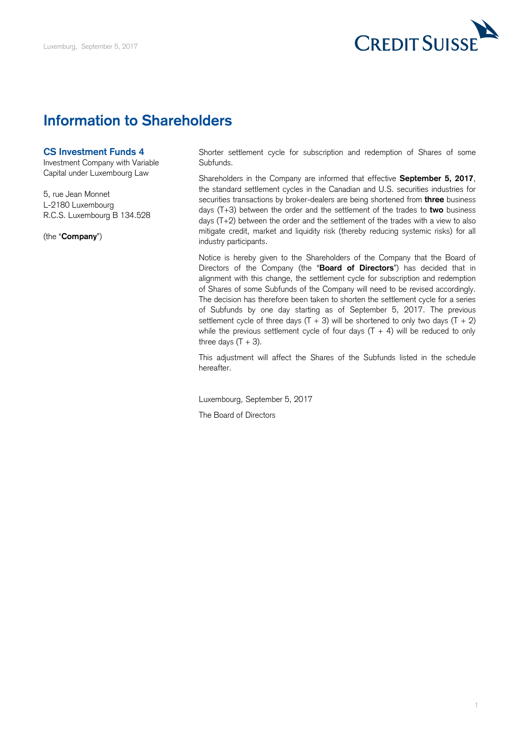

## **Information to Shareholders**

## **CS Investment Funds 4**

Investment Company with Variable Capital under Luxembourg Law

 5, rue Jean Monnet L-2180 Luxembourg R.C.S. Luxembourg B 134.528

(the "**Company**")

 Shorter settlement cycle for subscription and redemption of Shares of some Subfunds.

 Shareholders in the Company are informed that effective **September 5, 2017**, the standard settlement cycles in the Canadian and U.S. securities industries for securities transactions by broker-dealers are being shortened from **three** business days (T+3) between the order and the settlement of the trades to **two** business days (T+2) between the order and the settlement of the trades with a view to also mitigate credit, market and liquidity risk (thereby reducing systemic risks) for all industry participants.

 Notice is hereby given to the Shareholders of the Company that the Board of Directors of the Company (the "**Board of Directors**") has decided that in alignment with this change, the settlement cycle for subscription and redemption of Shares of some Subfunds of the Company will need to be revised accordingly. The decision has therefore been taken to shorten the settlement cycle for a series of Subfunds by one day starting as of September 5, 2017. The previous settlement cycle of three days  $(T + 3)$  will be shortened to only two days  $(T + 2)$ while the previous settlement cycle of four days  $(T + 4)$  will be reduced to only three days  $(T + 3)$ .

 This adjustment will affect the Shares of the Subfunds listed in the schedule hereafter.

Luxembourg, September 5, 2017 The Board of Directors